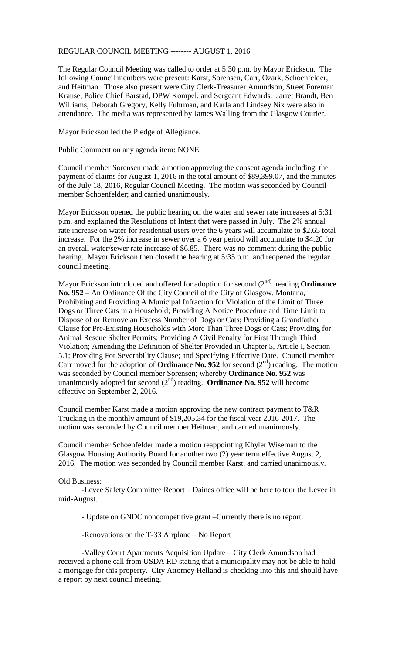## REGULAR COUNCIL MEETING -------- AUGUST 1, 2016

The Regular Council Meeting was called to order at 5:30 p.m. by Mayor Erickson. The following Council members were present: Karst, Sorensen, Carr, Ozark, Schoenfelder, and Heitman. Those also present were City Clerk-Treasurer Amundson, Street Foreman Krause, Police Chief Barstad, DPW Kompel, and Sergeant Edwards. Jarret Brandt, Ben Williams, Deborah Gregory, Kelly Fuhrman, and Karla and Lindsey Nix were also in attendance. The media was represented by James Walling from the Glasgow Courier.

Mayor Erickson led the Pledge of Allegiance.

Public Comment on any agenda item: NONE

Council member Sorensen made a motion approving the consent agenda including, the payment of claims for August 1, 2016 in the total amount of \$89,399.07, and the minutes of the July 18, 2016, Regular Council Meeting. The motion was seconded by Council member Schoenfelder; and carried unanimously.

Mayor Erickson opened the public hearing on the water and sewer rate increases at 5:31 p.m. and explained the Resolutions of Intent that were passed in July. The 2% annual rate increase on water for residential users over the 6 years will accumulate to \$2.65 total increase. For the 2% increase in sewer over a 6 year period will accumulate to \$4.20 for an overall water/sewer rate increase of \$6.85. There was no comment during the public hearing. Mayor Erickson then closed the hearing at 5:35 p.m. and reopened the regular council meeting.

Mayor Erickson introduced and offered for adoption for second (2<sup>nd)</sup> reading **Ordinance No. 952 –** An Ordinance Of the City Council of the City of Glasgow, Montana, Prohibiting and Providing A Municipal Infraction for Violation of the Limit of Three Dogs or Three Cats in a Household; Providing A Notice Procedure and Time Limit to Dispose of or Remove an Excess Number of Dogs or Cats; Providing a Grandfather Clause for Pre-Existing Households with More Than Three Dogs or Cats; Providing for Animal Rescue Shelter Permits; Providing A Civil Penalty for First Through Third Violation; Amending the Definition of Shelter Provided in Chapter 5, Article I, Section 5.1; Providing For Severability Clause; and Specifying Effective Date. Council member Carr moved for the adoption of **Ordinance No. 952** for second  $(2<sup>nd</sup>)$  reading. The motion was seconded by Council member Sorensen; whereby **Ordinance No. 952** was unanimously adopted for second  $(2<sup>nd</sup>)$  reading. **Ordinance No. 952** will become effective on September 2, 2016.

Council member Karst made a motion approving the new contract payment to T&R Trucking in the monthly amount of \$19,205.34 for the fiscal year 2016-2017. The motion was seconded by Council member Heitman, and carried unanimously.

Council member Schoenfelder made a motion reappointing Khyler Wiseman to the Glasgow Housing Authority Board for another two (2) year term effective August 2, 2016. The motion was seconded by Council member Karst, and carried unanimously.

## Old Business:

-Levee Safety Committee Report – Daines office will be here to tour the Levee in mid-August.

- Update on GNDC noncompetitive grant –Currently there is no report.

-Renovations on the T-33 Airplane – No Report

-Valley Court Apartments Acquisition Update – City Clerk Amundson had received a phone call from USDA RD stating that a municipality may not be able to hold a mortgage for this property. City Attorney Helland is checking into this and should have a report by next council meeting.